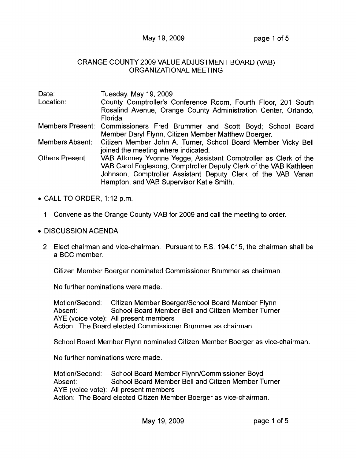## May 19, 2009 **page 1 of 5**

## ORANGE COUNTY 2009 VALUE ADJUSTMENT BOARD (VAB) ORGANIZATIONAL MEETING

| Date:            | Tuesday, May 19, 2009                                                                                |
|------------------|------------------------------------------------------------------------------------------------------|
| Location:        | County Comptroller's Conference Room, Fourth Floor, 201 South                                        |
|                  | Rosalind Avenue, Orange County Administration Center, Orlando,                                       |
|                  | Florida                                                                                              |
| Members Present: | Commissioners Fred Brummer and Scott Boyd; School Board                                              |
|                  | Member Daryl Flynn, Citizen Member Matthew Boerger.                                                  |
| Members Absent:  | Citizen Member John A. Turner, School Board Member Vicky Bell<br>joined the meeting where indicated. |
| Others Present:  | VAB Attorney Yvonne Yegge, Assistant Comptroller as Clerk of the                                     |
|                  | VAB Carol Foglesong, Comptroller Deputy Clerk of the VAB Kathleen                                    |
|                  | Johnson, Comptroller Assistant Deputy Clerk of the VAB Vanan                                         |
|                  | Hampton, and VAB Supervisor Katie Smith.                                                             |

- CALL TO ORDER, 1:12 p.m.
	- 1. Convene as the Orange County VAB for 2009 and call the meeting to order.
- DISCUSSION AGENDA
	- 2. Elect chairman and vice-chairman. Pursuant to F.S. 194.015, the chairman shall be a BCC member.

Citizen Member Boerger nominated Commissioner Brummer as chairman.

No further nominations were made.

Motion/Second: Citizen Member Boerger/School Board Member Flynn Absent: School Board Member Bell and Citizen Member Turner AYE (voice vote): All present members Action: The Board elected Commissioner Brummer as chairman.

School Board Member Flynn nominated Citizen Member Boerger as vice-chairman.

No further nominations were made.

Motion/Second: School Board Member Flynn/Commissioner Boyd Absent: School Board Member Bell and Citizen Member Turner AYE (voice vote): All present members Action: The Board elected Citizen Member Boerger as vice-chairman.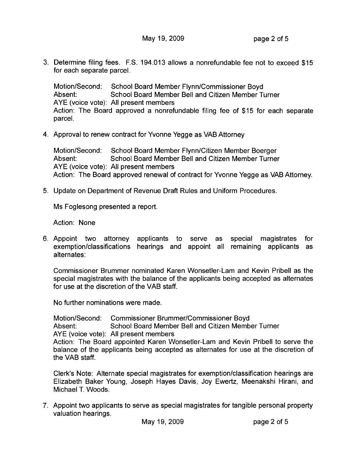3. Determine filing fees. F.S. 194.013 allows a nonrefundable fee not to exceed \$15 for each separate parcel.

Motion/Second: School Board Member Flynn/Commissioner Boyd Absent: School Board Member Bell and Citizen Member Turner AYE (voice vote): All present members Action: The Board approved a nonrefundable filing fee of \$15 for each separate parcel.

4. Approval to renew contract for Yvonne Yegge as VAB Attorney

Motion/Second: School Board Member Flynn/Citizen Member Boerger Absent: School Board Member Bell and Citizen Member Turner AYE (voice vote): All present members Action: The Board approved renewal of contract for Yvonne Yegge as VAB Attorney.

5. Update on Department of Revenue Draft Rules and Uniform Procedures.

Ms Foglesong presented a report.

Action: None

6. Appoint two attorney applicants to serve as special magistrates for exemption/classifications hearings and appoint all remaining applicants as alternates:

Commissioner Brummer nominated Karen Wonsetler-Lam and Kevin Pribell as the special magistrates with the balance of the applicants being accepted as alternates for use at the discretion of the VAB staff.

No further nominations were made.

Motion/Second: Commissioner Brummer/Commissioner Boyd Absent: School Board Member Bell and Citizen Member Turner AYE (voice vote): All present members Action: The Board appointed Karen Wonsetler-Lam and Kevin Pribell to serve the balance of the applicants being accepted as alternates for use at the discretion of the VAB staff.

Clerk's Note: Alternate special magistrates for exemption/classification hearings are Elizabeth Baker Young, Joseph Hayes Davis, Joy Ewertz, Meenakshi Hirani, and Michael T. Woods.

7. Appoint two applicants to serve as special magistrates for tangible personal property valuation hearings.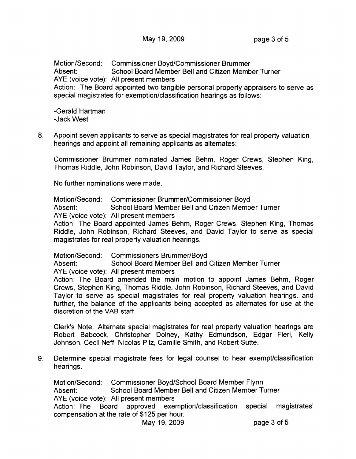Motion/Second: Commissioner Boyd/Commissioner Brummer Absent: School Board Member Bell and Citizen Member Turner AYE (voice vote): All present members Action: The Board appointed two tangible personal property appraisers to serve as special magistrates for exemption/classification hearings as follows:

-Gerald Hartman -Jack West

8. Appoint seven applicants to serve as special magistrates for real property valuation hearings and appoint all remaining applicants as alternates:

Commissioner Brummer nominated James Behm, Roger Crews, Stephen King, Thomas Riddle, John Robinson, David Taylor, and Richard Steeves.

No further nominations were made.

Motion/Second: Commissioner Brummer/Commissioner Boyd Absent: School Board Member Bell and Citizen Member Turner AYE (voice vote): All present members

Action: The Board appointed James Behm, Roger Crews, Stephen King, Thomas Riddle, John Robinson, Richard Steeves, and David Taylor to serve as special magistrates for real property valuation hearings.

Motion/Second: Commissioners Brummer/Boyd

Absent: School Board Member Bell and Citizen Member Turner AYE (voice vote): All present members

Action: The Board amended the main motion to appoint James Behm, Roger Crews, Stephen King, Thomas Riddle, John Robinson, Richard Steeves, and David Taylor to serve as special magistrates for real property valuation hearings. and further, the balance of the applicants being accepted as alternates for use at the discretion of the VAB staff.

Clerk's Note: Alternate special magistrates for real property valuation hearings are Robert Babcock, Christopher Dolney, Kathy Edmundson, Edgar Fieri, Kelly Johnson, Cecil Neff, Nicolas Pilz, Camille Smith, and Robert Sutte.

9. Determine special magistrate fees for legal counsel to hear exempt/classification hearings.

Motion/Second: Commissioner Boyd/School Board Member Flynn Absent: School Board Member Bell and Citizen Member Turner AYE (voice vote): All present members Action: The Board approved exemption/classification special magistrates' compensation at the rate of \$125 per hour. May 19, 2009 **page 3 of 5**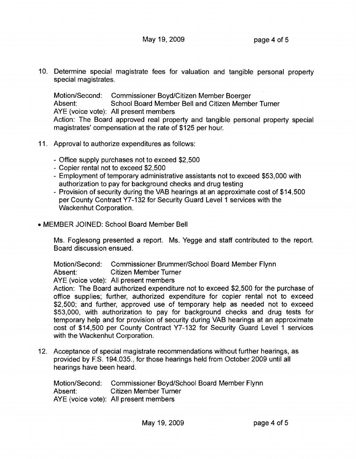10. Determine special magistrate fees for valuation and tangible personal property special magistrates.

Motion/Second: Commissioner Boyd/Citizen Member Boerger Absent: School Board Member Bell and Citizen Member Turner AYE (voice vote): All present members Action: The Board approved real property and tangible personal property special magistrates' compensation at the rate of \$125 per hour.

- 11. Approval to authorize expenditures as follows:
	- Office supply purchases not to exceed \$2,500
	- Copier rental not to exceed \$2,500
	- Employment of temporary administrative assistants not to exceed \$53,000 with authorization to pay for background checks and drug testing
	- Provision of security during the VAB hearings at an approximate cost of \$14,500 per County Contract Y7-132 for Security Guard Level 1 services with the Wackenhut Corporation.
- MEMBER JOINED: School Board Member Bell

Ms. Foglesong presented a report. Ms. Yegge and staff contributed to the report. Board discussion ensued.

Motion/Second: Commissioner Brummer/School Board Member Flynn Absent: Citizen Member Turner

AYE (voice vote): All present members

Action: The Board authorized expenditure not to exceed \$2,500 for the purchase of office supplies; further, authorized expenditure for copier rental not to exceed \$2,500; and further, approved use of temporary help as needed not to exceed \$53,000, with authorization to pay for background checks and drug tests for temporary help and for provision of security during VAB hearings at an approximate cost of \$14,500 per County Contract Y7-132 for Security Guard Level 1 services with the Wackenhut Corporation.

12. Acceptance of special magistrate recommendations without further hearings, as provided by F.S. 194.035., for those hearings held from October 2009 until all hearings have been heard.

Motion/Second: Commissioner Boyd/School Board Member Flynn Absent: Citizen Member Turner AYE (voice vote): All present members